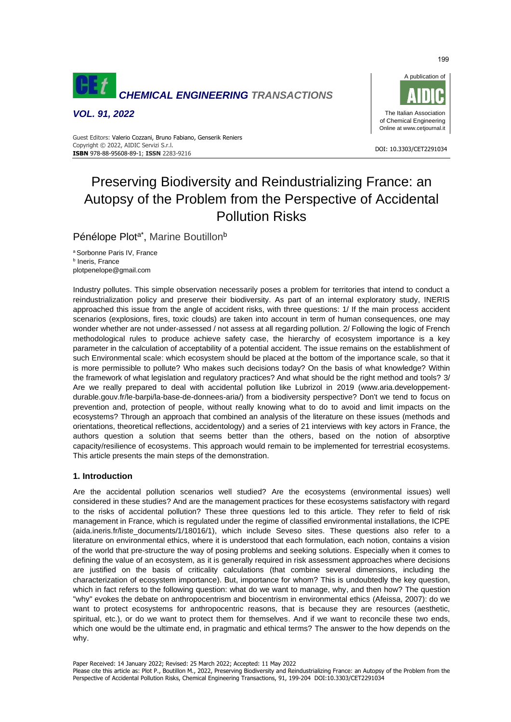

*VOL. 91, 2022*



#### DOI: 10.3303/CET2291034 **ISBN** 978-88-95608-89-1; **ISSN** 2283-9216 Guest Editors: Valerio Cozzani, Bruno Fabiano, Genserik Reniers Copyright © 2022, AIDIC Servizi S.r.l.

# Preserving Biodiversity and Reindustrializing France: an Autopsy of the Problem from the Perspective of Accidental Pollution Risks

Pénélope Plot<sup>a\*</sup>, Marine Boutillon<sup>b</sup>

<sup>a</sup> Sorbonne Paris IV, France **b** Ineris, France plotpenelope@gmail.com

Industry pollutes. This simple observation necessarily poses a problem for territories that intend to conduct a reindustrialization policy and preserve their biodiversity. As part of an internal exploratory study, INERIS approached this issue from the angle of accident risks, with three questions: 1/ If the main process accident scenarios (explosions, fires, toxic clouds) are taken into account in term of human consequences, one may wonder whether are not under-assessed / not assess at all regarding pollution. 2/ Following the logic of French methodological rules to produce achieve safety case, the hierarchy of ecosystem importance is a key parameter in the calculation of acceptability of a potential accident. The issue remains on the establishment of such Environmental scale: which ecosystem should be placed at the bottom of the importance scale, so that it is more permissible to pollute? Who makes such decisions today? On the basis of what knowledge? Within the framework of what legislation and regulatory practices? And what should be the right method and tools? 3/ Are we really prepared to deal with accidental pollution like Lubrizol in 2019 (www.aria.developpementdurable.gouv.fr/le-barpi/la-base-de-donnees-aria/) from a biodiversity perspective? Don't we tend to focus on prevention and, protection of people, without really knowing what to do to avoid and limit impacts on the ecosystems? Through an approach that combined an analysis of the literature on these issues (methods and orientations, theoretical reflections, accidentology) and a series of 21 interviews with key actors in France, the authors question a solution that seems better than the others, based on the notion of absorptive capacity/resilience of ecosystems. This approach would remain to be implemented for terrestrial ecosystems. This article presents the main steps of the demonstration.

## **1. Introduction**

Are the accidental pollution scenarios well studied? Are the ecosystems (environmental issues) well considered in these studies? And are the management practices for these ecosystems satisfactory with regard to the risks of accidental pollution? These three questions led to this article. They refer to field of risk management in France, which is regulated under the regime of classified environmental installations, the ICPE (aida.ineris.fr/liste documents/1/18016/1), which include Seveso sites. These questions also refer to a literature on environmental ethics, where it is understood that each formulation, each notion, contains a vision of the world that pre-structure the way of posing problems and seeking solutions. Especially when it comes to defining the value of an ecosystem, as it is generally required in risk assessment approaches where decisions are justified on the basis of criticality calculations (that combine several dimensions, including the characterization of ecosystem importance). But, importance for whom? This is undoubtedly the key question, which in fact refers to the following question: what do we want to manage, why, and then how? The question "why" evokes the debate on anthropocentrism and biocentrism in environmental ethics (Afeissa, 2007): do we want to protect ecosystems for anthropocentric reasons, that is because they are resources (aesthetic, spiritual, etc.), or do we want to protect them for themselves. And if we want to reconcile these two ends, which one would be the ultimate end, in pragmatic and ethical terms? The answer to the how depends on the why.

Paper Received: 14 January 2022; Revised: 25 March 2022; Accepted: 11 May 2022

Please cite this article as: Plot P., Boutillon M., 2022, Preserving Biodiversity and Reindustrializing France: an Autopsy of the Problem from the Perspective of Accidental Pollution Risks, Chemical Engineering Transactions, 91, 199-204 DOI:10.3303/CET2291034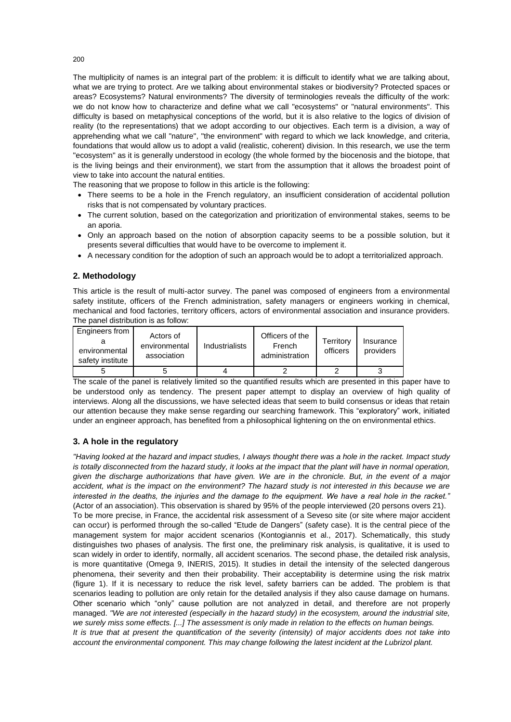The multiplicity of names is an integral part of the problem: it is difficult to identify what we are talking about, what we are trying to protect. Are we talking about environmental stakes or biodiversity? Protected spaces or areas? Ecosystems? Natural environments? The diversity of terminologies reveals the difficulty of the work: we do not know how to characterize and define what we call "ecosystems" or "natural environments". This difficulty is based on metaphysical conceptions of the world, but it is also relative to the logics of division of reality (to the representations) that we adopt according to our objectives. Each term is a division, a way of apprehending what we call "nature", "the environment" with regard to which we lack knowledge, and criteria, foundations that would allow us to adopt a valid (realistic, coherent) division. In this research, we use the term "ecosystem" as it is generally understood in ecology (the whole formed by the biocenosis and the biotope, that is the living beings and their environment), we start from the assumption that it allows the broadest point of view to take into account the natural entities.

The reasoning that we propose to follow in this article is the following:

- There seems to be a hole in the French regulatory, an insufficient consideration of accidental pollution risks that is not compensated by voluntary practices.
- The current solution, based on the categorization and prioritization of environmental stakes, seems to be an aporia.
- Only an approach based on the notion of absorption capacity seems to be a possible solution, but it presents several difficulties that would have to be overcome to implement it.
- A necessary condition for the adoption of such an approach would be to adopt a territorialized approach.

## **2. Methodology**

This article is the result of multi-actor survey. The panel was composed of engineers from a environmental safety institute, officers of the French administration, safety managers or engineers working in chemical, mechanical and food factories, territory officers, actors of environmental association and insurance providers. The panel distribution is as follow:

| Engineers from<br>environmental<br>safety institute | Actors of<br>environmental<br>association | Industrialists | Officers of the<br>French<br>administration | Territory<br>officers | Insurance<br>providers |
|-----------------------------------------------------|-------------------------------------------|----------------|---------------------------------------------|-----------------------|------------------------|
|                                                     |                                           |                |                                             |                       |                        |

The scale of the panel is relatively limited so the quantified results which are presented in this paper have to be understood only as tendency. The present paper attempt to display an overview of high quality of interviews. Along all the discussions, we have selected ideas that seem to build consensus or ideas that retain our attention because they make sense regarding our searching framework. This "exploratory" work, initiated under an engineer approach, has benefited from a philosophical lightening on the on environmental ethics.

# **3. A hole in the regulatory**

*"Having looked at the hazard and impact studies, I always thought there was a hole in the racket. Impact study*  is totally disconnected from the hazard study, it looks at the impact that the plant will have in normal operation, *given the discharge authorizations that have given. We are in the chronicle. But, in the event of a major accident, what is the impact on the environment? The hazard study is not interested in this because we are interested in the deaths, the injuries and the damage to the equipment. We have a real hole in the racket."* (Actor of an association). This observation is shared by 95% of the people interviewed (20 persons overs 21). To be more precise, in France, the accidental risk assessment of a Seveso site (or site where major accident can occur) is performed through the so-called "Etude de Dangers" (safety case). It is the central piece of the management system for major accident scenarios (Kontogiannis et al., 2017). Schematically, this study distinguishes two phases of analysis. The first one, the preliminary risk analysis, is qualitative, it is used to scan widely in order to identify, normally, all accident scenarios. The second phase, the detailed risk analysis, is more quantitative (Omega 9, INERIS, 2015). It studies in detail the intensity of the selected dangerous phenomena, their severity and then their probability. Their acceptability is determine using the risk matrix (figure 1). If it is necessary to reduce the risk level, safety barriers can be added. The problem is that scenarios leading to pollution are only retain for the detailed analysis if they also cause damage on humans. Other scenario which "only" cause pollution are not analyzed in detail, and therefore are not properly managed. *"We are not interested (especially in the hazard study) in the ecosystem, around the industrial site, we surely miss some effects. [...] The assessment is only made in relation to the effects on human beings. It is true that at present the quantification of the severity (intensity) of major accidents does not take into account the environmental component. This may change following the latest incident at the Lubrizol plant.*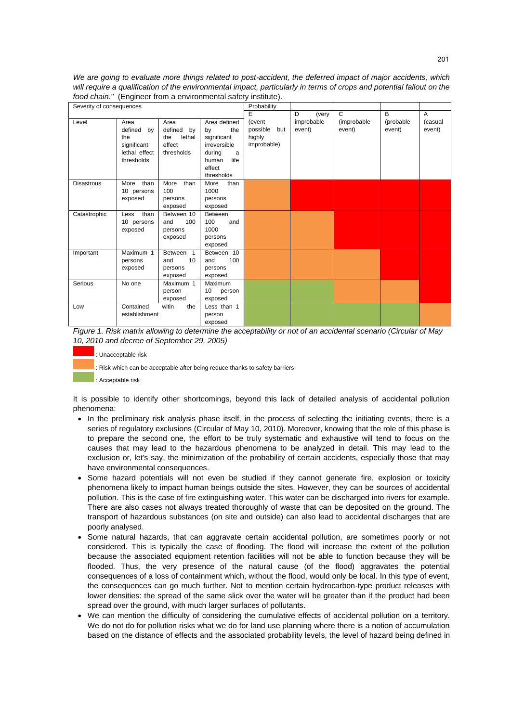*We are going to evaluate more things related to post-accident, the deferred impact of major accidents, which*  will require a qualification of the environmental impact, particularly in terms of crops and potential fallout on the *food chain."* (Engineer from a environmental safety institute).

| Severity of consequences |                                                                            |                                                                |                                                                                                                  | Probability                                        |                      |                       |                     |                   |
|--------------------------|----------------------------------------------------------------------------|----------------------------------------------------------------|------------------------------------------------------------------------------------------------------------------|----------------------------------------------------|----------------------|-----------------------|---------------------|-------------------|
|                          |                                                                            |                                                                |                                                                                                                  | E                                                  | D<br>(very           | C                     | B                   | A                 |
| Level                    | Area<br>defined<br>by<br>the<br>significant<br>lethal effect<br>thresholds | Area<br>defined<br>by<br>lethal<br>the<br>effect<br>thresholds | Area defined<br>the<br>by<br>significant<br>irreversible<br>during<br>a<br>life<br>human<br>effect<br>thresholds | (event<br>possible<br>but<br>highly<br>improbable) | improbable<br>event) | (improbable<br>event) | (probable<br>event) | (casual<br>event) |
| <b>Disastrous</b>        | than<br>More<br>10 persons<br>exposed                                      | More<br>than<br>100<br>persons<br>exposed                      | More<br>than<br>1000<br>persons<br>exposed                                                                       |                                                    |                      |                       |                     |                   |
| Catastrophic             | than<br>Less<br>10 persons<br>exposed                                      | Between 10<br>100<br>and<br>persons<br>exposed                 | <b>Between</b><br>100<br>and<br>1000<br>persons<br>exposed                                                       |                                                    |                      |                       |                     |                   |
| Important                | Maximum 1<br>persons<br>exposed                                            | Between 1<br>10<br>and<br>persons<br>exposed                   | Between 10<br>100<br>and<br>persons<br>exposed                                                                   |                                                    |                      |                       |                     |                   |
| Serious                  | No one                                                                     | Maximum 1<br>person<br>exposed                                 | Maximum<br>10<br>person<br>exposed                                                                               |                                                    |                      |                       |                     |                   |
| Low                      | Contained<br>establishment                                                 | witin<br>the                                                   | Less than 1<br>person<br>exposed                                                                                 |                                                    |                      |                       |                     |                   |

*Figure 1. Risk matrix allowing to determine the acceptability or not of an accidental scenario (Circular of May 10, 2010 and decree of September 29, 2005)*



: Risk which can be acceptable after being reduce thanks to safety barriers

: Acceptable risk

It is possible to identify other shortcomings, beyond this lack of detailed analysis of accidental pollution phenomena:

- In the preliminary risk analysis phase itself, in the process of selecting the initiating events, there is a series of regulatory exclusions (Circular of May 10, 2010). Moreover, knowing that the role of this phase is to prepare the second one, the effort to be truly systematic and exhaustive will tend to focus on the causes that may lead to the hazardous phenomena to be analyzed in detail. This may lead to the exclusion or, let's say, the minimization of the probability of certain accidents, especially those that may have environmental consequences.
- Some hazard potentials will not even be studied if they cannot generate fire, explosion or toxicity phenomena likely to impact human beings outside the sites. However, they can be sources of accidental pollution. This is the case of fire extinguishing water. This water can be discharged into rivers for example. There are also cases not always treated thoroughly of waste that can be deposited on the ground. The transport of hazardous substances (on site and outside) can also lead to accidental discharges that are poorly analysed.
- Some natural hazards, that can aggravate certain accidental pollution, are sometimes poorly or not considered. This is typically the case of flooding. The flood will increase the extent of the pollution because the associated equipment retention facilities will not be able to function because they will be flooded. Thus, the very presence of the natural cause (of the flood) aggravates the potential consequences of a loss of containment which, without the flood, would only be local. In this type of event, the consequences can go much further. Not to mention certain hydrocarbon-type product releases with lower densities: the spread of the same slick over the water will be greater than if the product had been spread over the ground, with much larger surfaces of pollutants.
- We can mention the difficulty of considering the cumulative effects of accidental pollution on a territory. We do not do for pollution risks what we do for land use planning where there is a notion of accumulation based on the distance of effects and the associated probability levels, the level of hazard being defined in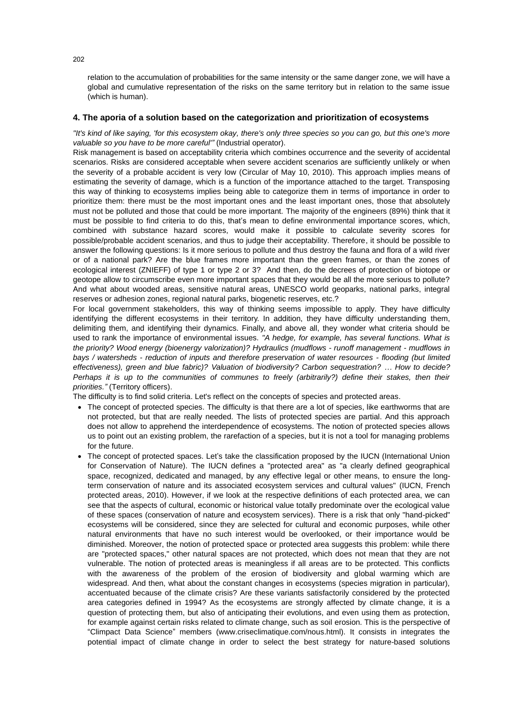relation to the accumulation of probabilities for the same intensity or the same danger zone, we will have a global and cumulative representation of the risks on the same territory but in relation to the same issue (which is human).

#### **4. The aporia of a solution based on the categorization and prioritization of ecosystems**

*"It's kind of like saying, 'for this ecosystem okay, there's only three species so you can go, but this one's more valuable so you have to be more careful'"* (Industrial operator).

Risk management is based on acceptability criteria which combines occurrence and the severity of accidental scenarios. Risks are considered acceptable when severe accident scenarios are sufficiently unlikely or when the severity of a probable accident is very low (Circular of May 10, 2010). This approach implies means of estimating the severity of damage, which is a function of the importance attached to the target. Transposing this way of thinking to ecosystems implies being able to categorize them in terms of importance in order to prioritize them: there must be the most important ones and the least important ones, those that absolutely must not be polluted and those that could be more important. The majority of the engineers (89%) think that it must be possible to find criteria to do this, that's mean to define environmental importance scores, which, combined with substance hazard scores, would make it possible to calculate severity scores for possible/probable accident scenarios, and thus to judge their acceptability. Therefore, it should be possible to answer the following questions: Is it more serious to pollute and thus destroy the fauna and flora of a wild river or of a national park? Are the blue frames more important than the green frames, or than the zones of ecological interest (ZNIEFF) of type 1 or type 2 or 3? And then, do the decrees of protection of biotope or geotope allow to circumscribe even more important spaces that they would be all the more serious to pollute? And what about wooded areas, sensitive natural areas, UNESCO world geoparks, national parks, integral reserves or adhesion zones, regional natural parks, biogenetic reserves, etc.?

For local government stakeholders, this way of thinking seems impossible to apply. They have difficulty identifying the different ecosystems in their territory. In addition, they have difficulty understanding them, delimiting them, and identifying their dynamics. Finally, and above all, they wonder what criteria should be used to rank the importance of environmental issues. *"A hedge, for example, has several functions. What is the priority? Wood energy (bioenergy valorization)? Hydraulics (mudflows - runoff management - mudflows in bays / watersheds - reduction of inputs and therefore preservation of water resources - flooding (but limited effectiveness), green and blue fabric)? Valuation of biodiversity? Carbon sequestration? … How to decide? Perhaps it is up to the communities of communes to freely (arbitrarily?) define their stakes, then their priorities."* (Territory officers).

The difficulty is to find solid criteria. Let's reflect on the concepts of species and protected areas.

- The concept of protected species. The difficulty is that there are a lot of species, like earthworms that are not protected, but that are really needed. The lists of protected species are partial. And this approach does not allow to apprehend the interdependence of ecosystems. The notion of protected species allows us to point out an existing problem, the rarefaction of a species, but it is not a tool for managing problems for the future.
- The concept of protected spaces. Let's take the classification proposed by the IUCN (International Union for Conservation of Nature). The IUCN defines a "protected area" as "a clearly defined geographical space, recognized, dedicated and managed, by any effective legal or other means, to ensure the longterm conservation of nature and its associated ecosystem services and cultural values" (IUCN, French protected areas, 2010). However, if we look at the respective definitions of each protected area, we can see that the aspects of cultural, economic or historical value totally predominate over the ecological value of these spaces (conservation of nature and ecosystem services). There is a risk that only "hand-picked" ecosystems will be considered, since they are selected for cultural and economic purposes, while other natural environments that have no such interest would be overlooked, or their importance would be diminished. Moreover, the notion of protected space or protected area suggests this problem: while there are "protected spaces," other natural spaces are not protected, which does not mean that they are not vulnerable. The notion of protected areas is meaningless if all areas are to be protected. This conflicts with the awareness of the problem of the erosion of biodiversity and global warming which are widespread. And then, what about the constant changes in ecosystems (species migration in particular), accentuated because of the climate crisis? Are these variants satisfactorily considered by the protected area categories defined in 1994? As the ecosystems are strongly affected by climate change, it is a question of protecting them, but also of anticipating their evolutions, and even using them as protection, for example against certain risks related to climate change, such as soil erosion. This is the perspective of "Climpact Data Science" members (www.criseclimatique.com/nous.html). It consists in integrates the potential impact of climate change in order to select the best strategy for nature-based solutions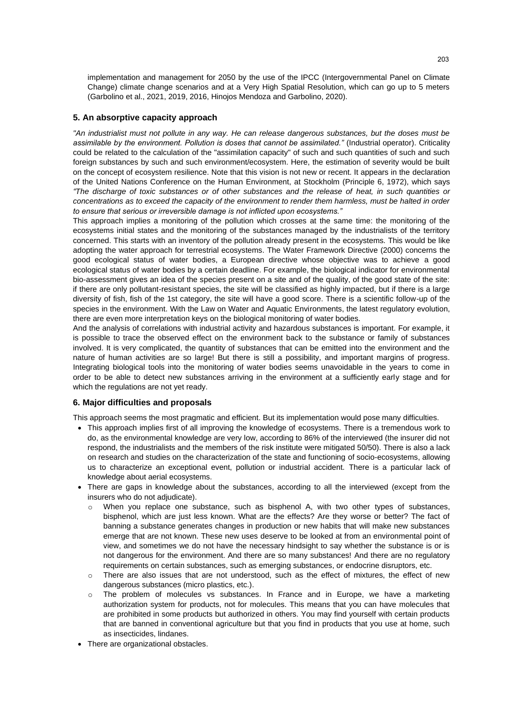implementation and management for 2050 by the use of the IPCC (Intergovernmental Panel on Climate Change) climate change scenarios and at a Very High Spatial Resolution, which can go up to 5 meters (Garbolino et al., 2021, 2019, 2016, Hinojos Mendoza and Garbolino, 2020).

## **5. An absorptive capacity approach**

*"An industrialist must not pollute in any way. He can release dangerous substances, but the doses must be assimilable by the environment. Pollution is doses that cannot be assimilated."* (Industrial operator). Criticality could be related to the calculation of the "assimilation capacity" of such and such quantities of such and such foreign substances by such and such environment/ecosystem. Here, the estimation of severity would be built on the concept of ecosystem resilience. Note that this vision is not new or recent. It appears in the declaration of the United Nations Conference on the Human Environment, at Stockholm (Principle 6, 1972), which says *"The discharge of toxic substances or of other substances and the release of heat, in such quantities or concentrations as to exceed the capacity of the environment to render them harmless, must be halted in order to ensure that serious or irreversible damage is not inflicted upon ecosystems."*

This approach implies a monitoring of the pollution which crosses at the same time: the monitoring of the ecosystems initial states and the monitoring of the substances managed by the industrialists of the territory concerned. This starts with an inventory of the pollution already present in the ecosystems. This would be like adopting the water approach for terrestrial ecosystems. The Water Framework Directive (2000) concerns the good ecological status of water bodies, a European directive whose objective was to achieve a good ecological status of water bodies by a certain deadline. For example, the biological indicator for environmental bio-assessment gives an idea of the species present on a site and of the quality, of the good state of the site: if there are only pollutant-resistant species, the site will be classified as highly impacted, but if there is a large diversity of fish, fish of the 1st category, the site will have a good score. There is a scientific follow-up of the species in the environment. With the Law on Water and Aquatic Environments, the latest regulatory evolution, there are even more interpretation keys on the biological monitoring of water bodies.

And the analysis of correlations with industrial activity and hazardous substances is important. For example, it is possible to trace the observed effect on the environment back to the substance or family of substances involved. It is very complicated, the quantity of substances that can be emitted into the environment and the nature of human activities are so large! But there is still a possibility, and important margins of progress. Integrating biological tools into the monitoring of water bodies seems unavoidable in the years to come in order to be able to detect new substances arriving in the environment at a sufficiently early stage and for which the regulations are not yet ready.

## **6. Major difficulties and proposals**

This approach seems the most pragmatic and efficient. But its implementation would pose many difficulties.

- This approach implies first of all improving the knowledge of ecosystems. There is a tremendous work to do, as the environmental knowledge are very low, according to 86% of the interviewed (the insurer did not respond, the industrialists and the members of the risk institute were mitigated 50/50). There is also a lack on research and studies on the characterization of the state and functioning of socio-ecosystems, allowing us to characterize an exceptional event, pollution or industrial accident. There is a particular lack of knowledge about aerial ecosystems.
- There are gaps in knowledge about the substances, according to all the interviewed (except from the insurers who do not adjudicate).
	- o When you replace one substance, such as bisphenol A, with two other types of substances, bisphenol, which are just less known. What are the effects? Are they worse or better? The fact of banning a substance generates changes in production or new habits that will make new substances emerge that are not known. These new uses deserve to be looked at from an environmental point of view, and sometimes we do not have the necessary hindsight to say whether the substance is or is not dangerous for the environment. And there are so many substances! And there are no regulatory requirements on certain substances, such as emerging substances, or endocrine disruptors, etc.
	- o There are also issues that are not understood, such as the effect of mixtures, the effect of new dangerous substances (micro plastics, etc.).
	- o The problem of molecules vs substances. In France and in Europe, we have a marketing authorization system for products, not for molecules. This means that you can have molecules that are prohibited in some products but authorized in others. You may find yourself with certain products that are banned in conventional agriculture but that you find in products that you use at home, such as insecticides, lindanes.
- There are organizational obstacles.